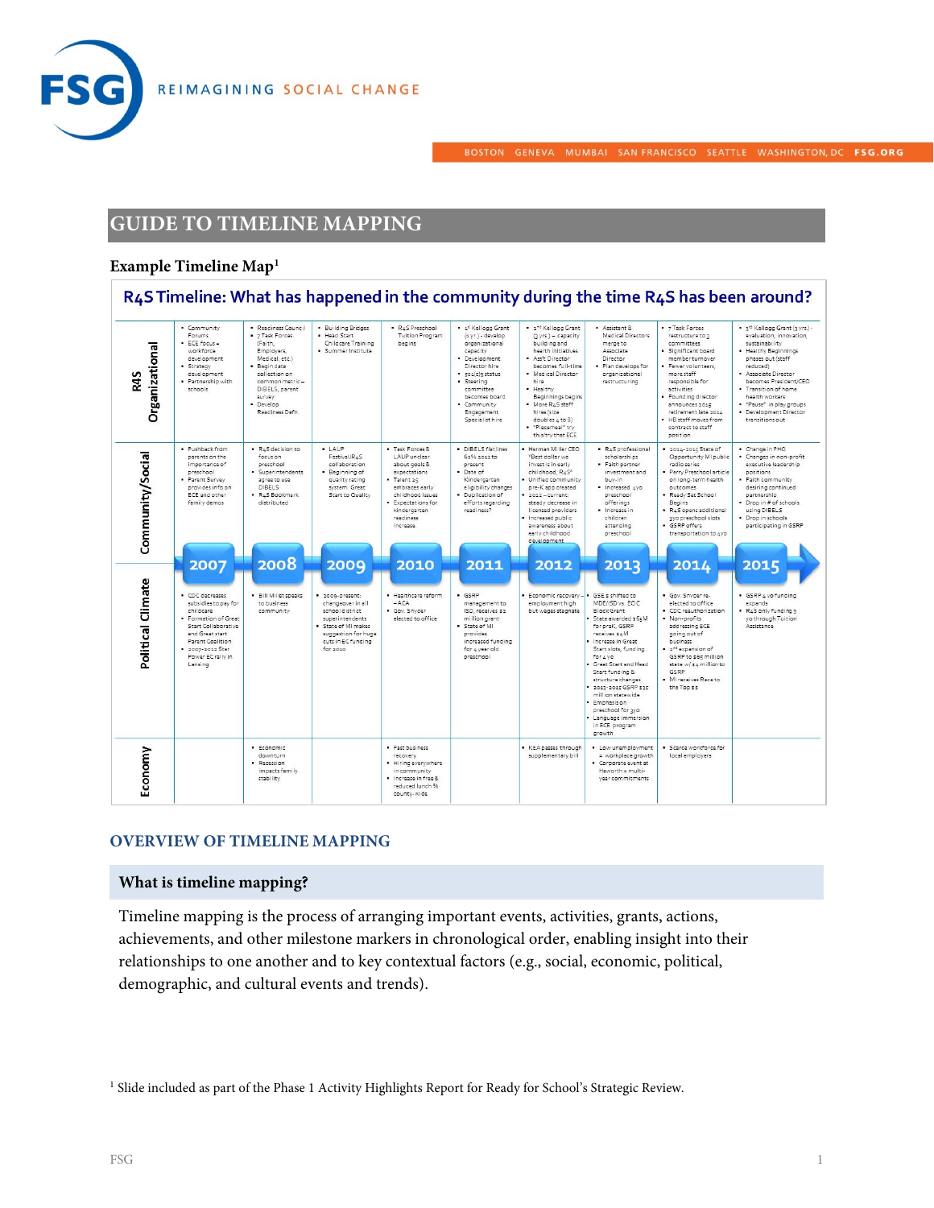



BOSTON GENEVA MUMBAI SAN FRANCISCO SEATTLE WASHINGTON, DC FSG.ORG

# **GUIDE TO TIMELINE MAPPING**

#### **Example Timeline Map[1](#page-0-0)**



#### **OVERVIEW OF TIMELINE MAPPING**

#### **What is timeline mapping?**

Timeline mapping is the process of arranging important events, activities, grants, actions, achievements, and other milestone markers in chronological order, enabling insight into their relationships to one another and to key contextual factors (e.g., social, economic, political, demographic, and cultural events and trends).

<span id="page-0-0"></span><sup>1</sup> Slide included as part of the Phase 1 Activity Highlights Report for Ready for School's Strategic Review.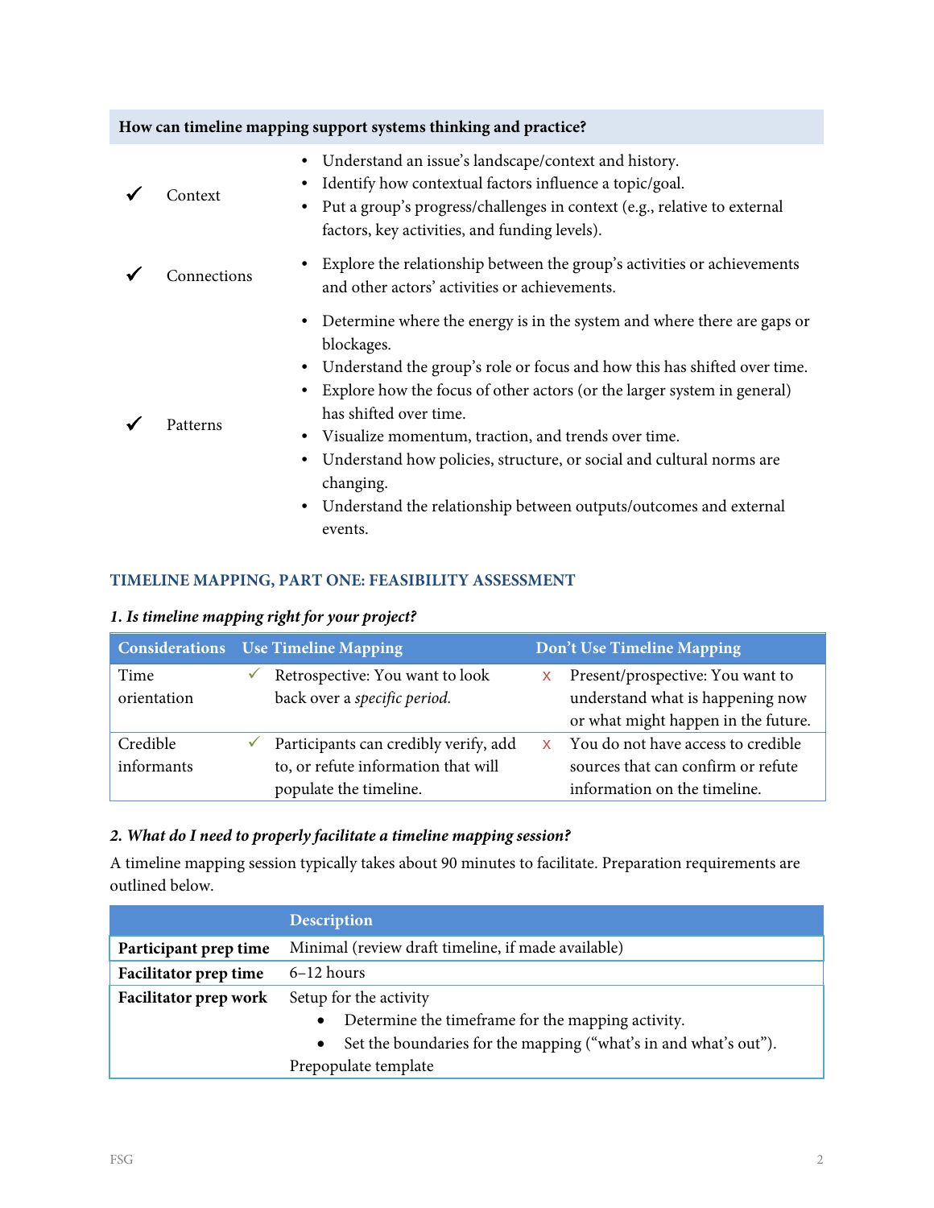| How can timeline mapping support systems thinking and practice? |             |                                                                                                                                                                                                                                                                                                                                                                                                                                                                                                                                   |  |  |  |  |
|-----------------------------------------------------------------|-------------|-----------------------------------------------------------------------------------------------------------------------------------------------------------------------------------------------------------------------------------------------------------------------------------------------------------------------------------------------------------------------------------------------------------------------------------------------------------------------------------------------------------------------------------|--|--|--|--|
|                                                                 | Context     | Understand an issue's landscape/context and history.<br>$\bullet$<br>Identify how contextual factors influence a topic/goal.<br>Put a group's progress/challenges in context (e.g., relative to external<br>factors, key activities, and funding levels).                                                                                                                                                                                                                                                                         |  |  |  |  |
|                                                                 | Connections | Explore the relationship between the group's activities or achievements<br>and other actors' activities or achievements.                                                                                                                                                                                                                                                                                                                                                                                                          |  |  |  |  |
|                                                                 | Patterns    | Determine where the energy is in the system and where there are gaps or<br>$\bullet$<br>blockages.<br>Understand the group's role or focus and how this has shifted over time.<br>Explore how the focus of other actors (or the larger system in general)<br>has shifted over time.<br>Visualize momentum, traction, and trends over time.<br>٠<br>Understand how policies, structure, or social and cultural norms are<br>changing.<br>Understand the relationship between outputs/outcomes and external<br>$\bullet$<br>events. |  |  |  |  |

# **TIMELINE MAPPING, PART ONE: FEASIBILITY ASSESSMENT**

# *1. Is timeline mapping right for your project?*

|             | <b>Considerations</b> Use Timeline Mapping |                                       | Don't Use Timeline Mapping |                                     |  |
|-------------|--------------------------------------------|---------------------------------------|----------------------------|-------------------------------------|--|
| Time        |                                            | Retrospective: You want to look       | x                          | Present/prospective: You want to    |  |
| orientation |                                            | back over a specific period.          |                            | understand what is happening now    |  |
|             |                                            |                                       |                            | or what might happen in the future. |  |
| Credible    |                                            | Participants can credibly verify, add | <b>X</b>                   | You do not have access to credible  |  |
| informants  |                                            | to, or refute information that will   |                            | sources that can confirm or refute  |  |
|             |                                            | populate the timeline.                |                            | information on the timeline.        |  |

# *2. What do I need to properly facilitate a timeline mapping session?*

A timeline mapping session typically takes about 90 minutes to facilitate. Preparation requirements are outlined below.

|                              | <b>Description</b>                                                            |  |
|------------------------------|-------------------------------------------------------------------------------|--|
| Participant prep time        | Minimal (review draft timeline, if made available)                            |  |
| <b>Facilitator prep time</b> | $6-12$ hours                                                                  |  |
| Facilitator prep work        | Setup for the activity                                                        |  |
|                              | Determine the timeframe for the mapping activity.                             |  |
|                              | Set the boundaries for the mapping ("what's in and what's out").<br>$\bullet$ |  |
|                              | Prepopulate template                                                          |  |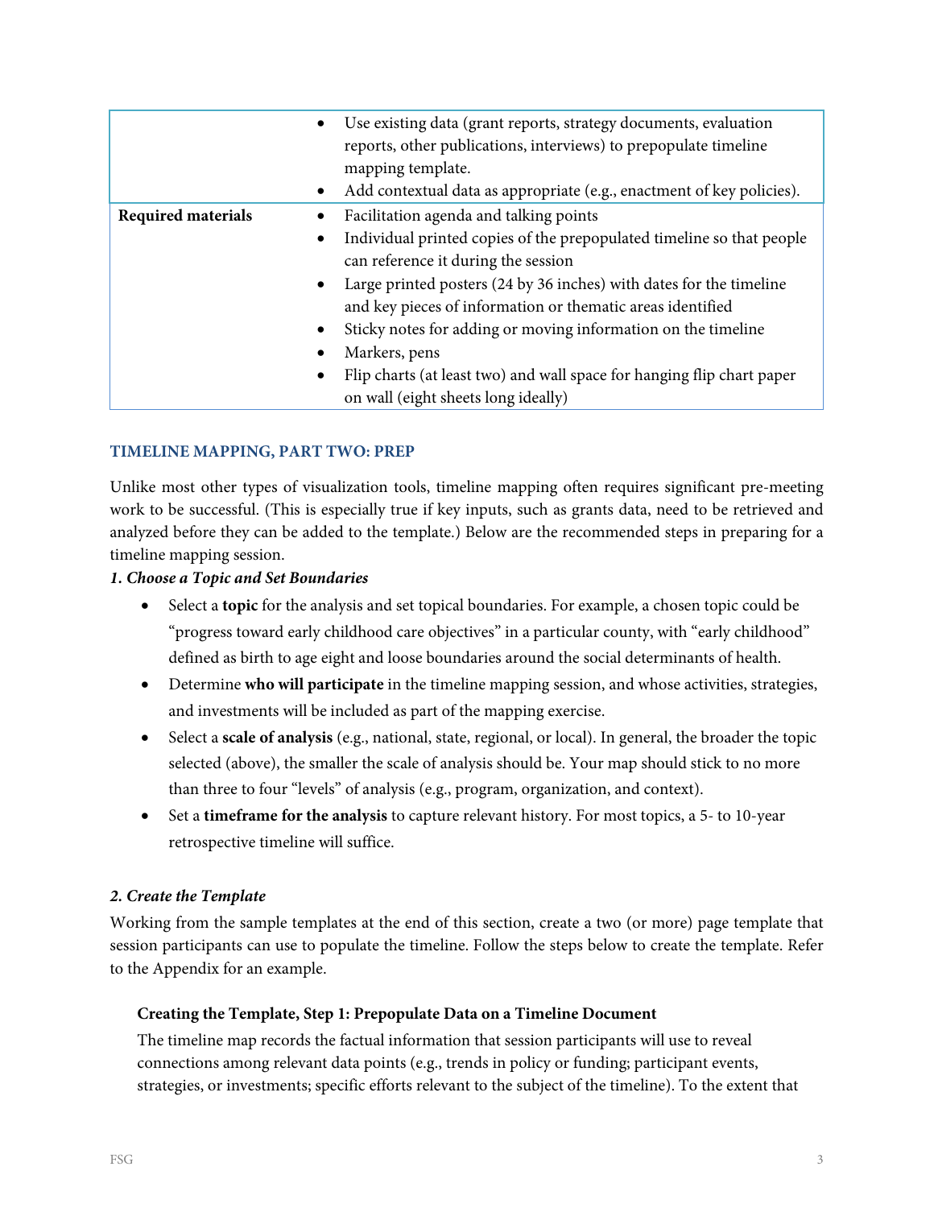|                           | Use existing data (grant reports, strategy documents, evaluation<br>$\bullet$<br>reports, other publications, interviews) to prepopulate timeline<br>mapping template. |  |
|---------------------------|------------------------------------------------------------------------------------------------------------------------------------------------------------------------|--|
|                           | Add contextual data as appropriate (e.g., enactment of key policies).<br>$\bullet$                                                                                     |  |
| <b>Required materials</b> | Facilitation agenda and talking points                                                                                                                                 |  |
|                           | Individual printed copies of the prepopulated timeline so that people<br>$\bullet$                                                                                     |  |
|                           | can reference it during the session                                                                                                                                    |  |
|                           | Large printed posters (24 by 36 inches) with dates for the timeline<br>$\bullet$                                                                                       |  |
|                           | and key pieces of information or thematic areas identified                                                                                                             |  |
|                           | Sticky notes for adding or moving information on the timeline<br>٠                                                                                                     |  |
|                           | Markers, pens                                                                                                                                                          |  |
|                           | Flip charts (at least two) and wall space for hanging flip chart paper<br>$\bullet$                                                                                    |  |
|                           | on wall (eight sheets long ideally)                                                                                                                                    |  |

#### **TIMELINE MAPPING, PART TWO: PREP**

Unlike most other types of visualization tools, timeline mapping often requires significant pre-meeting work to be successful. (This is especially true if key inputs, such as grants data, need to be retrieved and analyzed before they can be added to the template.) Below are the recommended steps in preparing for a timeline mapping session.

*1. Choose a Topic and Set Boundaries*

- Select a **topic** for the analysis and set topical boundaries. For example, a chosen topic could be "progress toward early childhood care objectives" in a particular county, with "early childhood" defined as birth to age eight and loose boundaries around the social determinants of health.
- Determine **who will participate** in the timeline mapping session, and whose activities, strategies, and investments will be included as part of the mapping exercise.
- Select a **scale of analysis** (e.g., national, state, regional, or local). In general, the broader the topic selected (above), the smaller the scale of analysis should be. Your map should stick to no more than three to four "levels" of analysis (e.g., program, organization, and context).
- Set a **timeframe for the analysis** to capture relevant history. For most topics, a 5- to 10-year retrospective timeline will suffice.

#### *2. Create the Template*

Working from the sample templates at the end of this section, create a two (or more) page template that session participants can use to populate the timeline. Follow the steps below to create the template. Refer to the Appendix for an example.

#### **Creating the Template, Step 1: Prepopulate Data on a Timeline Document**

The timeline map records the factual information that session participants will use to reveal connections among relevant data points (e.g., trends in policy or funding; participant events, strategies, or investments; specific efforts relevant to the subject of the timeline). To the extent that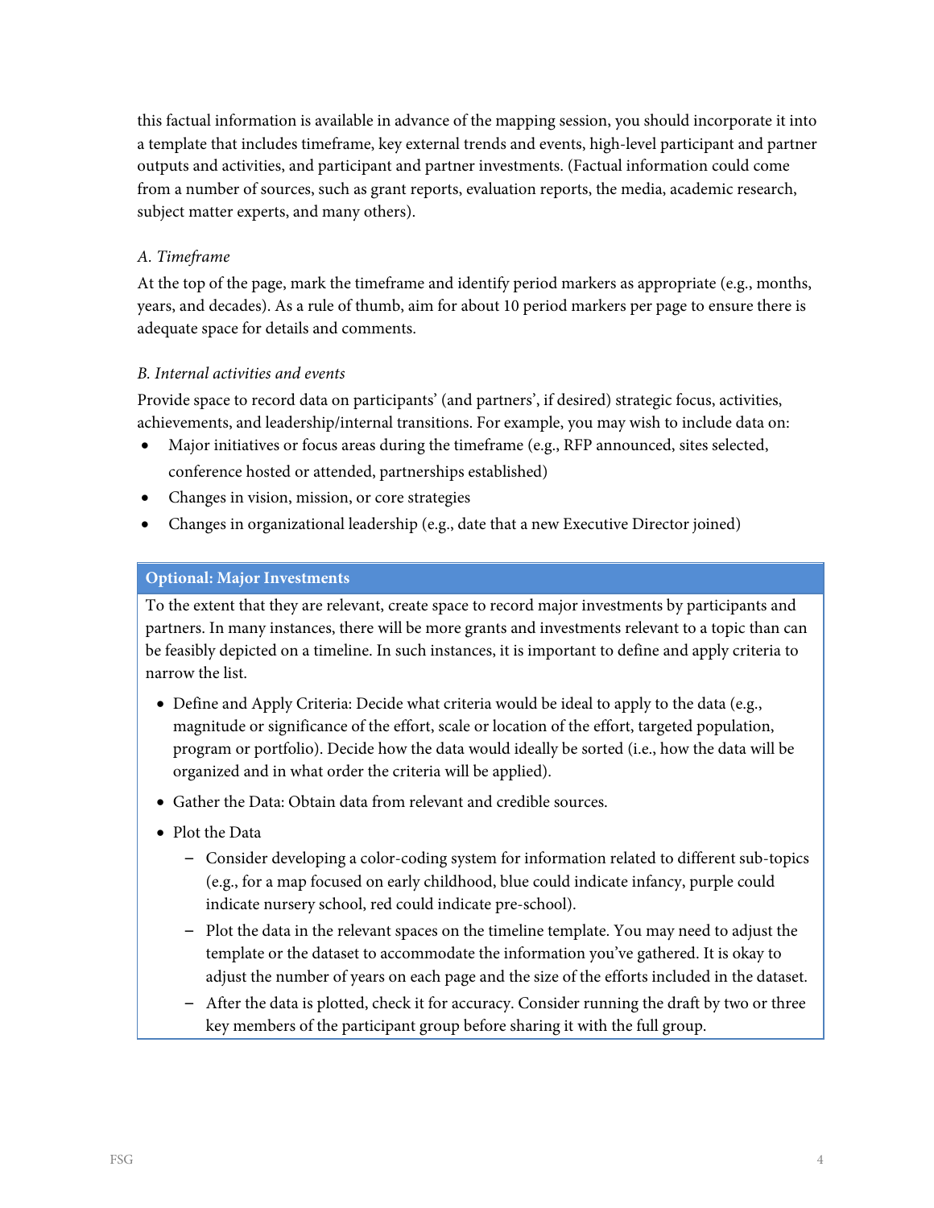this factual information is available in advance of the mapping session, you should incorporate it into a template that includes timeframe, key external trends and events, high-level participant and partner outputs and activities, and participant and partner investments. (Factual information could come from a number of sources, such as grant reports, evaluation reports, the media, academic research, subject matter experts, and many others).

# *A. Timeframe*

At the top of the page, mark the timeframe and identify period markers as appropriate (e.g., months, years, and decades). As a rule of thumb, aim for about 10 period markers per page to ensure there is adequate space for details and comments.

# *B. Internal activities and events*

Provide space to record data on participants' (and partners', if desired) strategic focus, activities, achievements, and leadership/internal transitions. For example, you may wish to include data on:

- Major initiatives or focus areas during the timeframe (e.g., RFP announced, sites selected, conference hosted or attended, partnerships established)
- Changes in vision, mission, or core strategies
- Changes in organizational leadership (e.g., date that a new Executive Director joined)

# **Optional: Major Investments**

To the extent that they are relevant, create space to record major investments by participants and partners. In many instances, there will be more grants and investments relevant to a topic than can be feasibly depicted on a timeline. In such instances, it is important to define and apply criteria to narrow the list.

- Define and Apply Criteria: Decide what criteria would be ideal to apply to the data (e.g., magnitude or significance of the effort, scale or location of the effort, targeted population, program or portfolio). Decide how the data would ideally be sorted (i.e., how the data will be organized and in what order the criteria will be applied).
- Gather the Data: Obtain data from relevant and credible sources.
- Plot the Data
	- Consider developing a color-coding system for information related to different sub-topics (e.g., for a map focused on early childhood, blue could indicate infancy, purple could indicate nursery school, red could indicate pre-school).
	- Plot the data in the relevant spaces on the timeline template. You may need to adjust the template or the dataset to accommodate the information you've gathered. It is okay to adjust the number of years on each page and the size of the efforts included in the dataset.
	- After the data is plotted, check it for accuracy. Consider running the draft by two or three key members of the participant group before sharing it with the full group.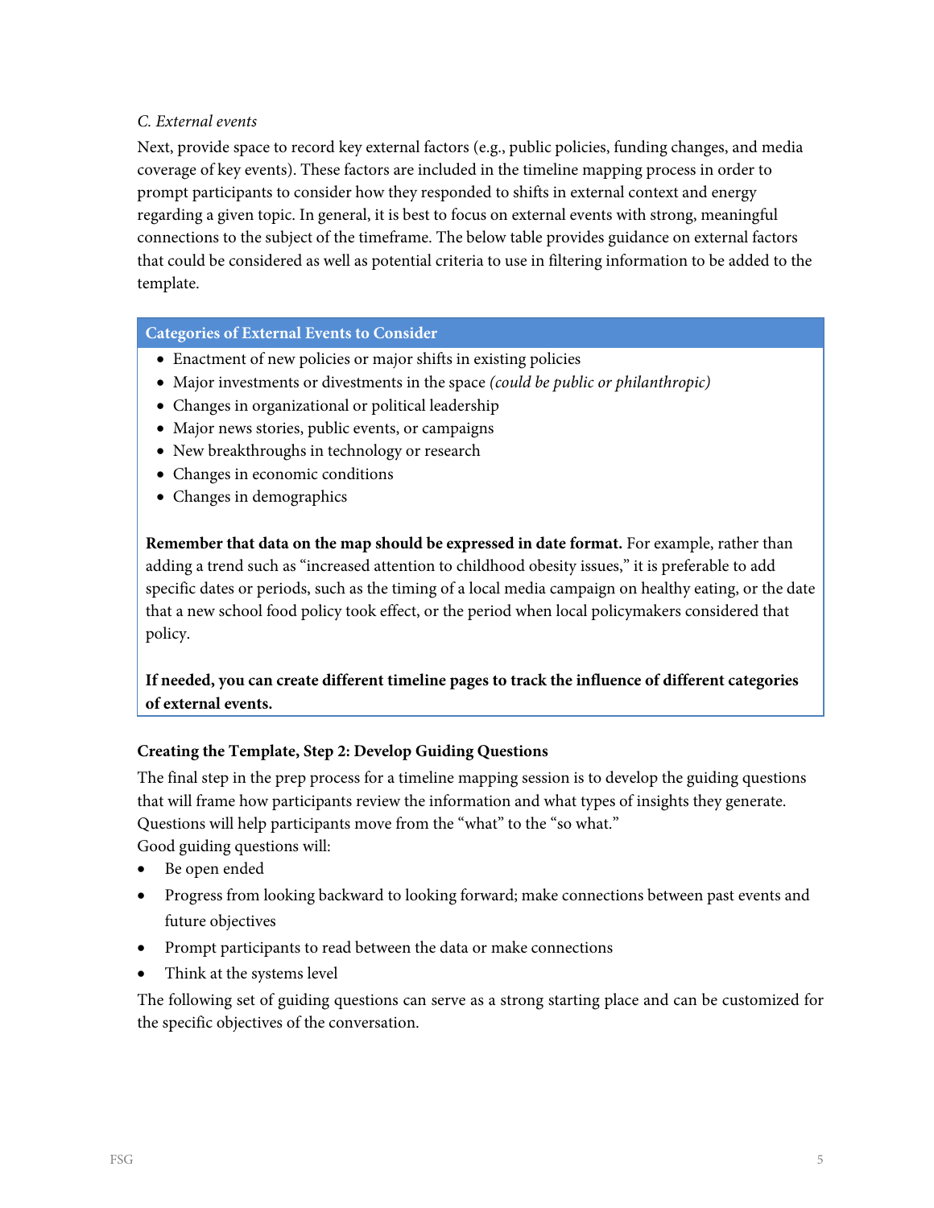# *C. External events*

Next, provide space to record key external factors (e.g., public policies, funding changes, and media coverage of key events). These factors are included in the timeline mapping process in order to prompt participants to consider how they responded to shifts in external context and energy regarding a given topic. In general, it is best to focus on external events with strong, meaningful connections to the subject of the timeframe. The below table provides guidance on external factors that could be considered as well as potential criteria to use in filtering information to be added to the template.

#### **Categories of External Events to Consider**

- Enactment of new policies or major shifts in existing policies
- Major investments or divestments in the space *(could be public or philanthropic)*
- Changes in organizational or political leadership
- Major news stories, public events, or campaigns
- New breakthroughs in technology or research
- Changes in economic conditions
- Changes in demographics

**Remember that data on the map should be expressed in date format.** For example, rather than adding a trend such as "increased attention to childhood obesity issues," it is preferable to add specific dates or periods, such as the timing of a local media campaign on healthy eating, or the date that a new school food policy took effect, or the period when local policymakers considered that policy.

**If needed, you can create different timeline pages to track the influence of different categories of external events.**

# **Creating the Template, Step 2: Develop Guiding Questions**

The final step in the prep process for a timeline mapping session is to develop the guiding questions that will frame how participants review the information and what types of insights they generate. Questions will help participants move from the "what" to the "so what."

Good guiding questions will:

- Be open ended
- Progress from looking backward to looking forward; make connections between past events and future objectives
- Prompt participants to read between the data or make connections
- Think at the systems level

The following set of guiding questions can serve as a strong starting place and can be customized for the specific objectives of the conversation.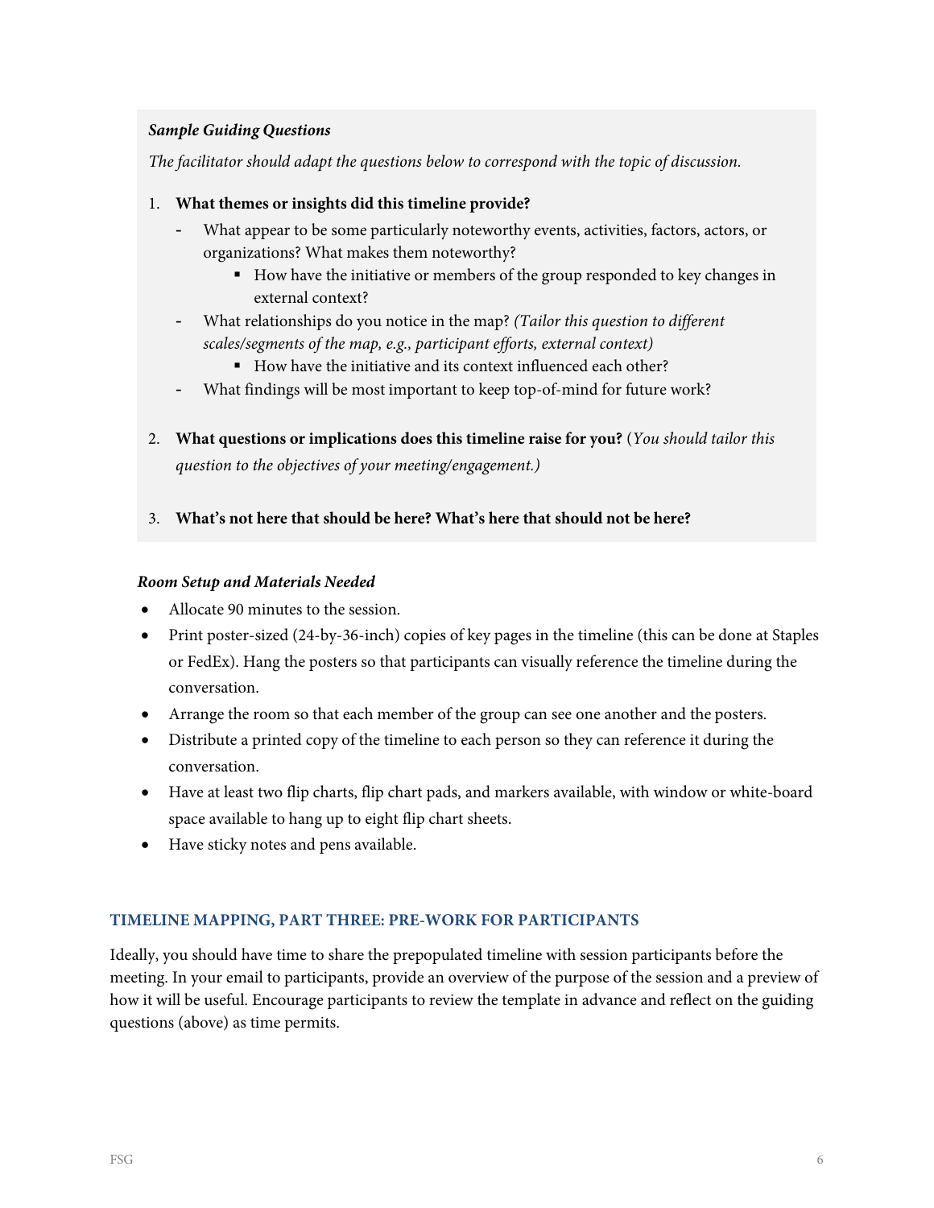# *Sample Guiding Questions*

*The facilitator should adapt the questions below to correspond with the topic of discussion.* 

#### 1. **What themes or insights did this timeline provide?**

- What appear to be some particularly noteworthy events, activities, factors, actors, or organizations? What makes them noteworthy?
	- How have the initiative or members of the group responded to key changes in external context?
- What relationships do you notice in the map? *(Tailor this question to different scales/segments of the map, e.g., participant efforts, external context)*
	- How have the initiative and its context influenced each other?
- What findings will be most important to keep top-of-mind for future work?
- 2. **What questions or implications does this timeline raise for you?** (*You should tailor this question to the objectives of your meeting/engagement.)*
- 3. **What's not here that should be here? What's here that should not be here?**

#### *Room Setup and Materials Needed*

- Allocate 90 minutes to the session.
- Print poster-sized (24-by-36-inch) copies of key pages in the timeline (this can be done at Staples or FedEx). Hang the posters so that participants can visually reference the timeline during the conversation.
- Arrange the room so that each member of the group can see one another and the posters.
- Distribute a printed copy of the timeline to each person so they can reference it during the conversation.
- Have at least two flip charts, flip chart pads, and markers available, with window or white-board space available to hang up to eight flip chart sheets.
- Have sticky notes and pens available.

# **TIMELINE MAPPING, PART THREE: PRE-WORK FOR PARTICIPANTS**

Ideally, you should have time to share the prepopulated timeline with session participants before the meeting. In your email to participants, provide an overview of the purpose of the session and a preview of how it will be useful. Encourage participants to review the template in advance and reflect on the guiding questions (above) as time permits.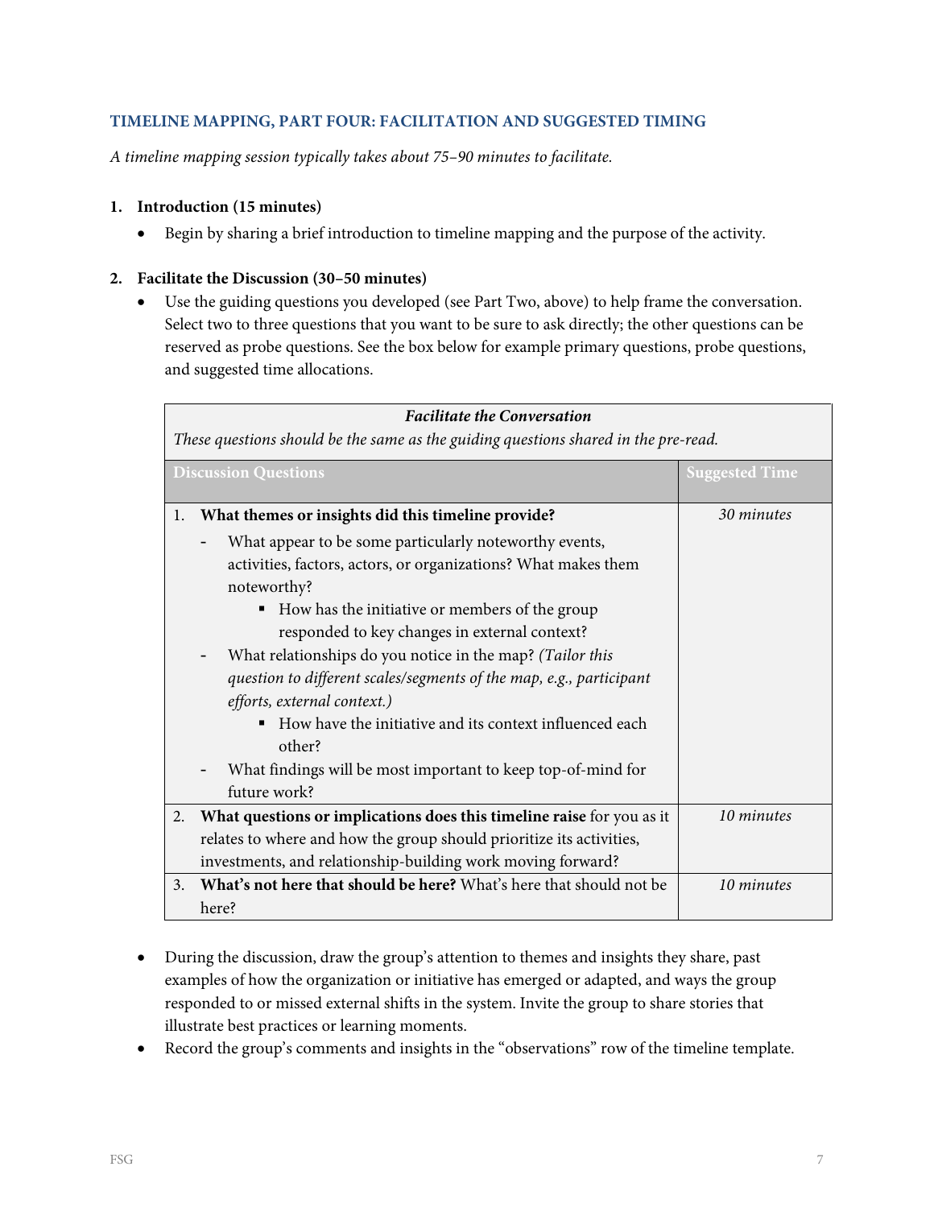# **TIMELINE MAPPING, PART FOUR: FACILITATION AND SUGGESTED TIMING**

*A timeline mapping session typically takes about 75–90 minutes to facilitate.*

### **1. Introduction (15 minutes)**

• Begin by sharing a brief introduction to timeline mapping and the purpose of the activity.

#### **2. Facilitate the Discussion (30–50 minutes)**

• Use the guiding questions you developed (see Part Two, above) to help frame the conversation. Select two to three questions that you want to be sure to ask directly; the other questions can be reserved as probe questions. See the box below for example primary questions, probe questions, and suggested time allocations.

| <b>Facilitate the Conversation</b>                                                  |                                                                       |                       |  |  |  |
|-------------------------------------------------------------------------------------|-----------------------------------------------------------------------|-----------------------|--|--|--|
| These questions should be the same as the guiding questions shared in the pre-read. |                                                                       |                       |  |  |  |
|                                                                                     | <b>Discussion Questions</b>                                           | <b>Suggested Time</b> |  |  |  |
| 1.                                                                                  | What themes or insights did this timeline provide?                    | 30 minutes            |  |  |  |
|                                                                                     | What appear to be some particularly noteworthy events,                |                       |  |  |  |
|                                                                                     | activities, factors, actors, or organizations? What makes them        |                       |  |  |  |
|                                                                                     | noteworthy?                                                           |                       |  |  |  |
|                                                                                     | How has the initiative or members of the group<br>п                   |                       |  |  |  |
|                                                                                     | responded to key changes in external context?                         |                       |  |  |  |
|                                                                                     | What relationships do you notice in the map? (Tailor this             |                       |  |  |  |
|                                                                                     | question to different scales/segments of the map, e.g., participant   |                       |  |  |  |
|                                                                                     | efforts, external context.)                                           |                       |  |  |  |
|                                                                                     | How have the initiative and its context influenced each               |                       |  |  |  |
|                                                                                     | other?                                                                |                       |  |  |  |
|                                                                                     | What findings will be most important to keep top-of-mind for          |                       |  |  |  |
|                                                                                     | future work?                                                          |                       |  |  |  |
| 2.                                                                                  | What questions or implications does this timeline raise for you as it | 10 minutes            |  |  |  |
|                                                                                     | relates to where and how the group should prioritize its activities,  |                       |  |  |  |
|                                                                                     | investments, and relationship-building work moving forward?           |                       |  |  |  |
| 3.                                                                                  | What's not here that should be here? What's here that should not be   | 10 minutes            |  |  |  |
|                                                                                     | here?                                                                 |                       |  |  |  |

- During the discussion, draw the group's attention to themes and insights they share, past examples of how the organization or initiative has emerged or adapted, and ways the group responded to or missed external shifts in the system. Invite the group to share stories that illustrate best practices or learning moments.
- Record the group's comments and insights in the "observations" row of the timeline template.